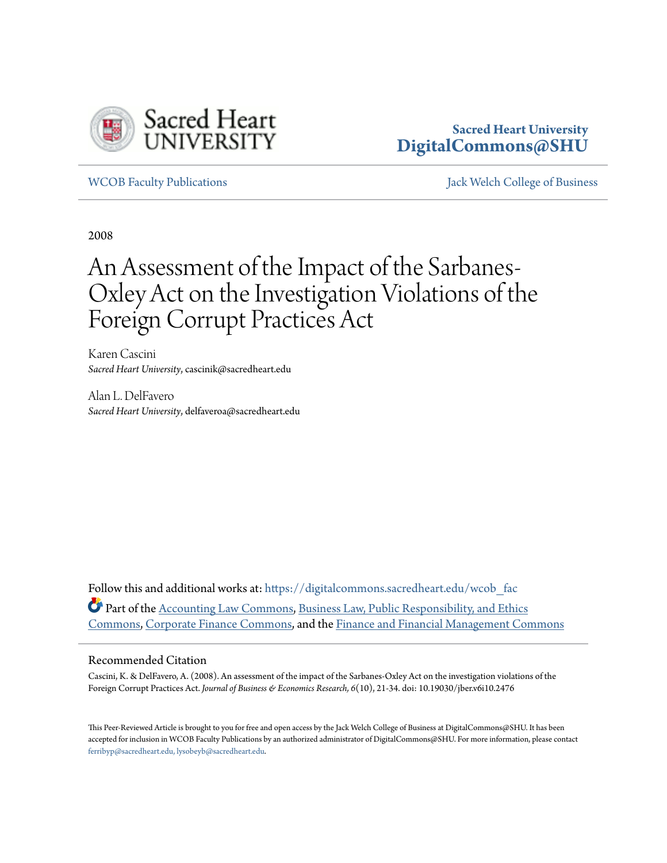

## **Sacred Heart University [DigitalCommons@SHU](https://digitalcommons.sacredheart.edu?utm_source=digitalcommons.sacredheart.edu%2Fwcob_fac%2F48&utm_medium=PDF&utm_campaign=PDFCoverPages)**

[WCOB Faculty Publications](https://digitalcommons.sacredheart.edu/wcob_fac?utm_source=digitalcommons.sacredheart.edu%2Fwcob_fac%2F48&utm_medium=PDF&utm_campaign=PDFCoverPages) [Jack Welch College of Business](https://digitalcommons.sacredheart.edu/wcob?utm_source=digitalcommons.sacredheart.edu%2Fwcob_fac%2F48&utm_medium=PDF&utm_campaign=PDFCoverPages)

2008

## An Assessment of the Impact of the Sarbanes-Oxley Act on the Investigation Violations of the Foreign Corrupt Practices Act

Karen Cascini *Sacred Heart University*, cascinik@sacredheart.edu

Alan L. DelFavero *Sacred Heart University*, delfaveroa@sacredheart.edu

Follow this and additional works at: [https://digitalcommons.sacredheart.edu/wcob\\_fac](https://digitalcommons.sacredheart.edu/wcob_fac?utm_source=digitalcommons.sacredheart.edu%2Fwcob_fac%2F48&utm_medium=PDF&utm_campaign=PDFCoverPages) Part of the [Accounting Law Commons](http://network.bepress.com/hgg/discipline/828?utm_source=digitalcommons.sacredheart.edu%2Fwcob_fac%2F48&utm_medium=PDF&utm_campaign=PDFCoverPages), [Business Law, Public Responsibility, and Ethics](http://network.bepress.com/hgg/discipline/628?utm_source=digitalcommons.sacredheart.edu%2Fwcob_fac%2F48&utm_medium=PDF&utm_campaign=PDFCoverPages) [Commons,](http://network.bepress.com/hgg/discipline/628?utm_source=digitalcommons.sacredheart.edu%2Fwcob_fac%2F48&utm_medium=PDF&utm_campaign=PDFCoverPages) [Corporate Finance Commons](http://network.bepress.com/hgg/discipline/629?utm_source=digitalcommons.sacredheart.edu%2Fwcob_fac%2F48&utm_medium=PDF&utm_campaign=PDFCoverPages), and the [Finance and Financial Management Commons](http://network.bepress.com/hgg/discipline/631?utm_source=digitalcommons.sacredheart.edu%2Fwcob_fac%2F48&utm_medium=PDF&utm_campaign=PDFCoverPages)

## Recommended Citation

Cascini, K. & DelFavero, A. (2008). An assessment of the impact of the Sarbanes-Oxley Act on the investigation violations of the Foreign Corrupt Practices Act. *Journal of Business & Economics Research, 6*(10), 21-34. doi: 10.19030/jber.v6i10.2476

This Peer-Reviewed Article is brought to you for free and open access by the Jack Welch College of Business at DigitalCommons@SHU. It has been accepted for inclusion in WCOB Faculty Publications by an authorized administrator of DigitalCommons@SHU. For more information, please contact [ferribyp@sacredheart.edu, lysobeyb@sacredheart.edu.](mailto:ferribyp@sacredheart.edu,%20lysobeyb@sacredheart.edu)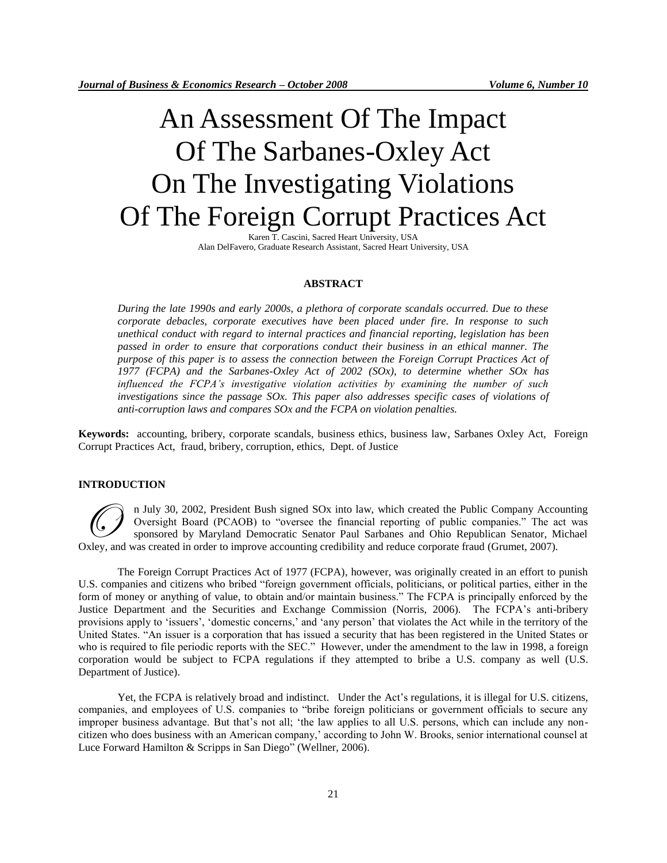# An Assessment Of The Impact Of The Sarbanes-Oxley Act On The Investigating Violations Of The Foreign Corrupt Practices Act

Karen T. Cascini, Sacred Heart University, USA Alan DelFavero, Graduate Research Assistant, Sacred Heart University, USA

## **ABSTRACT**

*During the late 1990s and early 2000s, a plethora of corporate scandals occurred. Due to these corporate debacles, corporate executives have been placed under fire. In response to such unethical conduct with regard to internal practices and financial reporting, legislation has been passed in order to ensure that corporations conduct their business in an ethical manner. The purpose of this paper is to assess the connection between the Foreign Corrupt Practices Act of 1977 (FCPA) and the Sarbanes-Oxley Act of 2002 (SOx), to determine whether SOx has influenced the FCPA's investigative violation activities by examining the number of such investigations since the passage SOx. This paper also addresses specific cases of violations of anti-corruption laws and compares SOx and the FCPA on violation penalties.*

**Keywords:** accounting, bribery, corporate scandals, business ethics, business law, Sarbanes Oxley Act, Foreign Corrupt Practices Act, fraud, bribery, corruption, ethics, Dept. of Justice

## **INTRODUCTION**

n July 30, 2002, President Bush signed SOx into law, which created the Public Company Accounting Oversight Board (PCAOB) to "oversee the financial reporting of public companies." The act was sponsored by Maryland Democratic Senator Paul Sarbanes and Ohio Republican Senator, Michael Oversight Board (PCAOB) to "oversee the financial reporting of public Companies." The accomposite Separation (PCAOB) to "oversee the financial reporting of public companies." The accounting sponsored by Maryland Democratic

The Foreign Corrupt Practices Act of 1977 (FCPA), however, was originally created in an effort to punish U.S. companies and citizens who bribed "foreign government officials, politicians, or political parties, either in the form of money or anything of value, to obtain and/or maintain business." The FCPA is principally enforced by the Justice Department and the Securities and Exchange Commission (Norris, 2006). The FCPA"s anti-bribery provisions apply to "issuers", "domestic concerns," and "any person" that violates the Act while in the territory of the United States. "An issuer is a corporation that has issued a security that has been registered in the United States or who is required to file periodic reports with the SEC." However, under the amendment to the law in 1998, a foreign corporation would be subject to FCPA regulations if they attempted to bribe a U.S. company as well (U.S. Department of Justice).

Yet, the FCPA is relatively broad and indistinct. Under the Act"s regulations, it is illegal for U.S. citizens, companies, and employees of U.S. companies to "bribe foreign politicians or government officials to secure any improper business advantage. But that"s not all; "the law applies to all U.S. persons, which can include any noncitizen who does business with an American company," according to John W. Brooks, senior international counsel at Luce Forward Hamilton & Scripps in San Diego" (Wellner, 2006).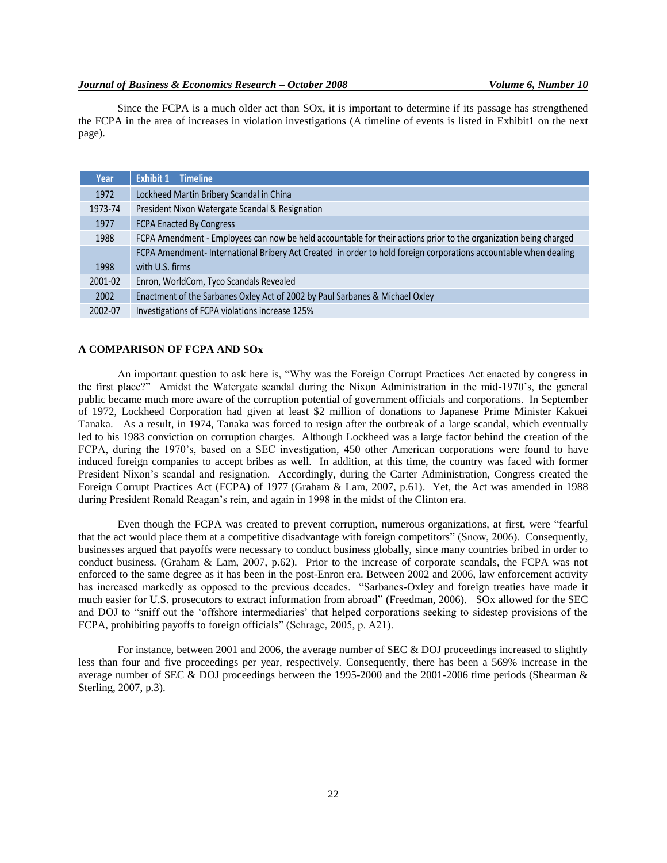Since the FCPA is a much older act than SOx, it is important to determine if its passage has strengthened the FCPA in the area of increases in violation investigations (A timeline of events is listed in Exhibit1 on the next page).

| <b>Year</b> | Exhibit 1<br><b>Timeline</b>                                                                                     |
|-------------|------------------------------------------------------------------------------------------------------------------|
| 1972        | Lockheed Martin Bribery Scandal in China                                                                         |
| 1973-74     | President Nixon Watergate Scandal & Resignation                                                                  |
| 1977        | <b>FCPA Enacted By Congress</b>                                                                                  |
| 1988        | FCPA Amendment - Employees can now be held accountable for their actions prior to the organization being charged |
|             | FCPA Amendment-International Bribery Act Created in order to hold foreign corporations accountable when dealing  |
| 1998        | with U.S. firms                                                                                                  |
| 2001-02     | Enron, WorldCom, Tyco Scandals Revealed                                                                          |
| 2002        | Enactment of the Sarbanes Oxley Act of 2002 by Paul Sarbanes & Michael Oxley                                     |
| 2002-07     | Investigations of FCPA violations increase 125%                                                                  |

## **A COMPARISON OF FCPA AND SOx**

An important question to ask here is, "Why was the Foreign Corrupt Practices Act enacted by congress in the first place?" Amidst the Watergate scandal during the Nixon Administration in the mid-1970"s, the general public became much more aware of the corruption potential of government officials and corporations. In September of 1972, Lockheed Corporation had given at least \$2 million of donations to Japanese Prime Minister Kakuei Tanaka. As a result, in 1974, Tanaka was forced to resign after the outbreak of a large scandal, which eventually led to his 1983 conviction on corruption charges. Although Lockheed was a large factor behind the creation of the FCPA, during the 1970's, based on a SEC investigation, 450 other American corporations were found to have induced foreign companies to accept bribes as well. In addition, at this time, the country was faced with former President Nixon"s scandal and resignation. Accordingly, during the Carter Administration, Congress created the Foreign Corrupt Practices Act (FCPA) of 1977 (Graham & Lam, 2007, p.61). Yet, the Act was amended in 1988 during President Ronald Reagan"s rein, and again in 1998 in the midst of the Clinton era.

Even though the FCPA was created to prevent corruption, numerous organizations, at first, were "fearful that the act would place them at a competitive disadvantage with foreign competitors" (Snow, 2006). Consequently, businesses argued that payoffs were necessary to conduct business globally, since many countries bribed in order to conduct business. (Graham & Lam, 2007, p.62). Prior to the increase of corporate scandals, the FCPA was not enforced to the same degree as it has been in the post-Enron era. Between 2002 and 2006, law enforcement activity has increased markedly as opposed to the previous decades. "Sarbanes-Oxley and foreign treaties have made it much easier for U.S. prosecutors to extract information from abroad" (Freedman, 2006). SOx allowed for the SEC and DOJ to "sniff out the "offshore intermediaries" that helped corporations seeking to sidestep provisions of the FCPA, prohibiting payoffs to foreign officials" (Schrage, 2005, p. A21).

For instance, between 2001 and 2006, the average number of SEC & DOJ proceedings increased to slightly less than four and five proceedings per year, respectively. Consequently, there has been a 569% increase in the average number of SEC & DOJ proceedings between the 1995-2000 and the 2001-2006 time periods (Shearman & Sterling, 2007, p.3).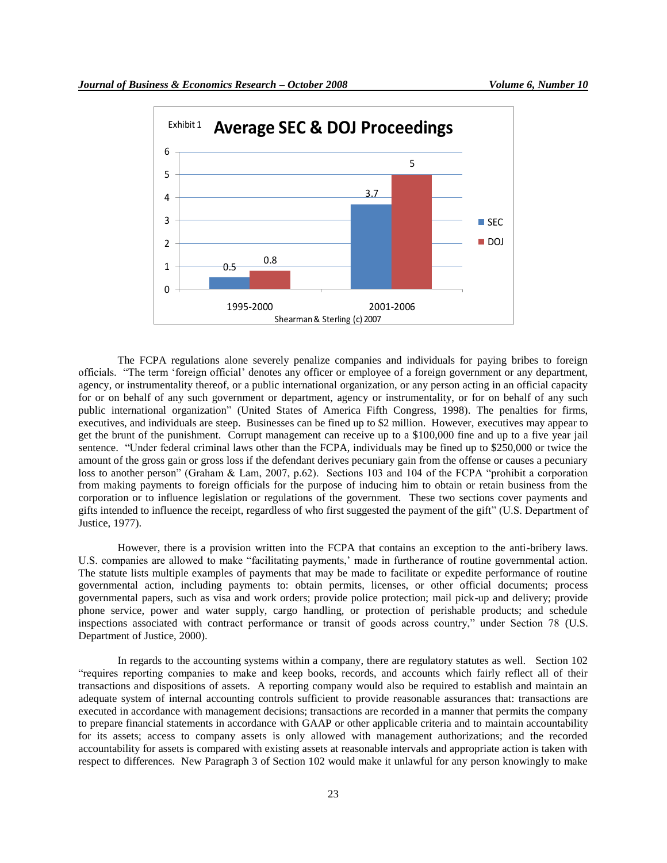

The FCPA regulations alone severely penalize companies and individuals for paying bribes to foreign officials. "The term "foreign official" denotes any officer or employee of a foreign government or any department, agency, or instrumentality thereof, or a public international organization, or any person acting in an official capacity for or on behalf of any such government or department, agency or instrumentality, or for on behalf of any such public international organization" (United States of America Fifth Congress, 1998). The penalties for firms, executives, and individuals are steep. Businesses can be fined up to \$2 million. However, executives may appear to get the brunt of the punishment. Corrupt management can receive up to a \$100,000 fine and up to a five year jail sentence. "Under federal criminal laws other than the FCPA, individuals may be fined up to \$250,000 or twice the amount of the gross gain or gross loss if the defendant derives pecuniary gain from the offense or causes a pecuniary loss to another person" (Graham & Lam, 2007, p.62). Sections 103 and 104 of the FCPA "prohibit a corporation from making payments to foreign officials for the purpose of inducing him to obtain or retain business from the corporation or to influence legislation or regulations of the government. These two sections cover payments and gifts intended to influence the receipt, regardless of who first suggested the payment of the gift" (U.S. Department of Justice, 1977).

However, there is a provision written into the FCPA that contains an exception to the anti-bribery laws. U.S. companies are allowed to make "facilitating payments," made in furtherance of routine governmental action. The statute lists multiple examples of payments that may be made to facilitate or expedite performance of routine governmental action, including payments to: obtain permits, licenses, or other official documents; process governmental papers, such as visa and work orders; provide police protection; mail pick-up and delivery; provide phone service, power and water supply, cargo handling, or protection of perishable products; and schedule inspections associated with contract performance or transit of goods across country," under Section 78 (U.S. Department of Justice, 2000).

In regards to the accounting systems within a company, there are regulatory statutes as well. Section 102 "requires reporting companies to make and keep books, records, and accounts which fairly reflect all of their transactions and dispositions of assets. A reporting company would also be required to establish and maintain an adequate system of internal accounting controls sufficient to provide reasonable assurances that: transactions are executed in accordance with management decisions; transactions are recorded in a manner that permits the company to prepare financial statements in accordance with GAAP or other applicable criteria and to maintain accountability for its assets; access to company assets is only allowed with management authorizations; and the recorded accountability for assets is compared with existing assets at reasonable intervals and appropriate action is taken with respect to differences. New Paragraph 3 of Section 102 would make it unlawful for any person knowingly to make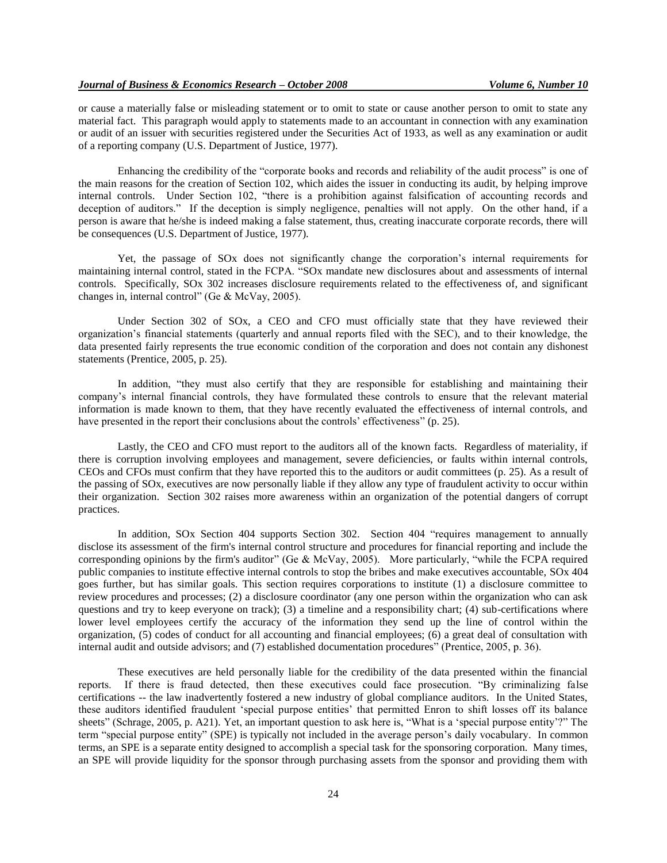or cause a materially false or misleading statement or to omit to state or cause another person to omit to state any material fact. This paragraph would apply to statements made to an accountant in connection with any examination or audit of an issuer with securities registered under the Securities Act of 1933, as well as any examination or audit of a reporting company (U.S. Department of Justice, 1977).

Enhancing the credibility of the "corporate books and records and reliability of the audit process" is one of the main reasons for the creation of Section 102, which aides the issuer in conducting its audit, by helping improve internal controls. Under Section 102, "there is a prohibition against falsification of accounting records and deception of auditors." If the deception is simply negligence, penalties will not apply. On the other hand, if a person is aware that he/she is indeed making a false statement, thus, creating inaccurate corporate records, there will be consequences (U.S. Department of Justice, 1977).

Yet, the passage of SOx does not significantly change the corporation"s internal requirements for maintaining internal control, stated in the FCPA. "SOx mandate new disclosures about and assessments of internal controls. Specifically, SOx 302 increases disclosure requirements related to the effectiveness of, and significant changes in, internal control" (Ge & McVay, 2005).

Under Section 302 of SOx, a CEO and CFO must officially state that they have reviewed their organization"s financial statements (quarterly and annual reports filed with the SEC), and to their knowledge, the data presented fairly represents the true economic condition of the corporation and does not contain any dishonest statements (Prentice, 2005, p. 25).

In addition, "they must also certify that they are responsible for establishing and maintaining their company"s internal financial controls, they have formulated these controls to ensure that the relevant material information is made known to them, that they have recently evaluated the effectiveness of internal controls, and have presented in the report their conclusions about the controls' effectiveness" (p. 25).

Lastly, the CEO and CFO must report to the auditors all of the known facts. Regardless of materiality, if there is corruption involving employees and management, severe deficiencies, or faults within internal controls, CEOs and CFOs must confirm that they have reported this to the auditors or audit committees (p. 25). As a result of the passing of SOx, executives are now personally liable if they allow any type of fraudulent activity to occur within their organization. Section 302 raises more awareness within an organization of the potential dangers of corrupt practices.

In addition, SOx Section 404 supports Section 302. Section 404 "requires management to annually disclose its assessment of the firm's internal control structure and procedures for financial reporting and include the corresponding opinions by the firm's auditor" (Ge & McVay, 2005). More particularly, "while the FCPA required public companies to institute effective internal controls to stop the bribes and make executives accountable, SOx 404 goes further, but has similar goals. This section requires corporations to institute (1) a disclosure committee to review procedures and processes; (2) a disclosure coordinator (any one person within the organization who can ask questions and try to keep everyone on track); (3) a timeline and a responsibility chart; (4) sub-certifications where lower level employees certify the accuracy of the information they send up the line of control within the organization, (5) codes of conduct for all accounting and financial employees; (6) a great deal of consultation with internal audit and outside advisors; and (7) established documentation procedures" (Prentice, 2005, p. 36).

These executives are held personally liable for the credibility of the data presented within the financial reports. If there is fraud detected, then these executives could face prosecution. "By criminalizing false certifications -- the law inadvertently fostered a new industry of global compliance auditors. In the United States, these auditors identified fraudulent "special purpose entities" that permitted Enron to shift losses off its balance sheets" (Schrage, 2005, p. A21). Yet, an important question to ask here is, "What is a "special purpose entity"?" The term "special purpose entity" (SPE) is typically not included in the average person"s daily vocabulary. In common terms, an SPE is a separate entity designed to accomplish a special task for the sponsoring corporation. Many times, an SPE will provide liquidity for the sponsor through purchasing assets from the sponsor and providing them with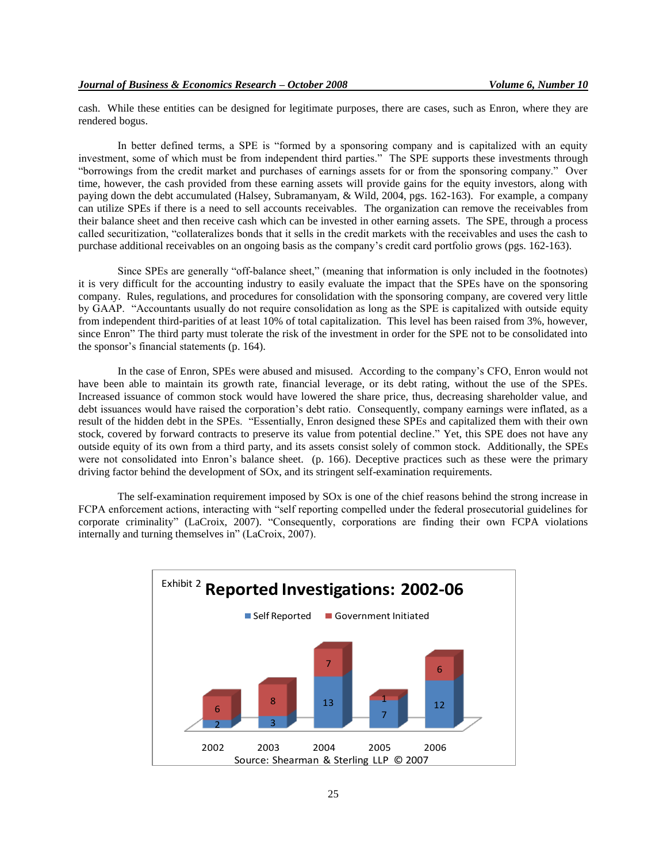cash. While these entities can be designed for legitimate purposes, there are cases, such as Enron, where they are rendered bogus.

In better defined terms, a SPE is "formed by a sponsoring company and is capitalized with an equity investment, some of which must be from independent third parties." The SPE supports these investments through "borrowings from the credit market and purchases of earnings assets for or from the sponsoring company." Over time, however, the cash provided from these earning assets will provide gains for the equity investors, along with paying down the debt accumulated (Halsey, Subramanyam, & Wild, 2004, pgs. 162-163). For example, a company can utilize SPEs if there is a need to sell accounts receivables. The organization can remove the receivables from their balance sheet and then receive cash which can be invested in other earning assets. The SPE, through a process called securitization, "collateralizes bonds that it sells in the credit markets with the receivables and uses the cash to purchase additional receivables on an ongoing basis as the company"s credit card portfolio grows (pgs. 162-163).

Since SPEs are generally "off-balance sheet," (meaning that information is only included in the footnotes) it is very difficult for the accounting industry to easily evaluate the impact that the SPEs have on the sponsoring company. Rules, regulations, and procedures for consolidation with the sponsoring company, are covered very little by GAAP. "Accountants usually do not require consolidation as long as the SPE is capitalized with outside equity from independent third-parities of at least 10% of total capitalization. This level has been raised from 3%, however, since Enron" The third party must tolerate the risk of the investment in order for the SPE not to be consolidated into the sponsor"s financial statements (p. 164).

In the case of Enron, SPEs were abused and misused. According to the company"s CFO, Enron would not have been able to maintain its growth rate, financial leverage, or its debt rating, without the use of the SPEs. Increased issuance of common stock would have lowered the share price, thus, decreasing shareholder value, and debt issuances would have raised the corporation's debt ratio. Consequently, company earnings were inflated, as a result of the hidden debt in the SPEs. "Essentially, Enron designed these SPEs and capitalized them with their own stock, covered by forward contracts to preserve its value from potential decline." Yet, this SPE does not have any outside equity of its own from a third party, and its assets consist solely of common stock. Additionally, the SPEs were not consolidated into Enron's balance sheet. (p. 166). Deceptive practices such as these were the primary driving factor behind the development of SOx, and its stringent self-examination requirements.

The self-examination requirement imposed by SOx is one of the chief reasons behind the strong increase in FCPA enforcement actions, interacting with "self reporting compelled under the federal prosecutorial guidelines for corporate criminality" (LaCroix, 2007). "Consequently, corporations are finding their own FCPA violations internally and turning themselves in" (LaCroix, 2007).

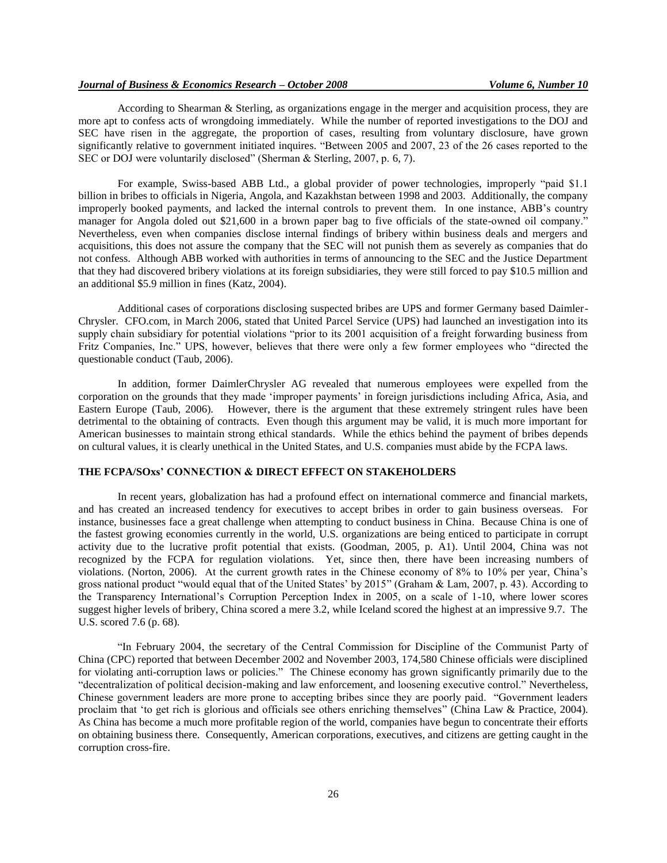According to Shearman & Sterling, as organizations engage in the merger and acquisition process, they are more apt to confess acts of wrongdoing immediately. While the number of reported investigations to the DOJ and SEC have risen in the aggregate, the proportion of cases, resulting from voluntary disclosure, have grown significantly relative to government initiated inquires. "Between 2005 and 2007, 23 of the 26 cases reported to the SEC or DOJ were voluntarily disclosed" (Sherman & Sterling, 2007, p. 6, 7).

For example, Swiss-based ABB Ltd., a global provider of power technologies, improperly "paid \$1.1 billion in bribes to officials in Nigeria, Angola, and Kazakhstan between 1998 and 2003. Additionally, the company improperly booked payments, and lacked the internal controls to prevent them. In one instance, ABB"s country manager for Angola doled out \$21,600 in a brown paper bag to five officials of the state-owned oil company." Nevertheless, even when companies disclose internal findings of bribery within business deals and mergers and acquisitions, this does not assure the company that the SEC will not punish them as severely as companies that do not confess. Although ABB worked with authorities in terms of announcing to the SEC and the Justice Department that they had discovered bribery violations at its foreign subsidiaries, they were still forced to pay \$10.5 million and an additional \$5.9 million in fines (Katz, 2004).

Additional cases of corporations disclosing suspected bribes are UPS and former Germany based Daimler-Chrysler. CFO.com, in March 2006, stated that United Parcel Service (UPS) had launched an investigation into its supply chain subsidiary for potential violations "prior to its 2001 acquisition of a freight forwarding business from Fritz Companies, Inc." UPS, however, believes that there were only a few former employees who "directed the questionable conduct (Taub, 2006).

In addition, former DaimlerChrysler AG revealed that numerous employees were expelled from the corporation on the grounds that they made "improper payments" in foreign jurisdictions including Africa, Asia, and Eastern Europe (Taub, 2006). However, there is the argument that these extremely stringent rules have been detrimental to the obtaining of contracts. Even though this argument may be valid, it is much more important for American businesses to maintain strong ethical standards. While the ethics behind the payment of bribes depends on cultural values, it is clearly unethical in the United States, and U.S. companies must abide by the FCPA laws.

#### **THE FCPA/SOxs' CONNECTION & DIRECT EFFECT ON STAKEHOLDERS**

In recent years, globalization has had a profound effect on international commerce and financial markets, and has created an increased tendency for executives to accept bribes in order to gain business overseas. For instance, businesses face a great challenge when attempting to conduct business in China. Because China is one of the fastest growing economies currently in the world, U.S. organizations are being enticed to participate in corrupt activity due to the lucrative profit potential that exists. (Goodman, 2005, p. A1). Until 2004, China was not recognized by the FCPA for regulation violations. Yet, since then, there have been increasing numbers of violations. (Norton, 2006). At the current growth rates in the Chinese economy of 8% to 10% per year, China"s gross national product "would equal that of the United States" by 2015" (Graham & Lam, 2007, p. 43). According to the Transparency International"s Corruption Perception Index in 2005, on a scale of 1-10, where lower scores suggest higher levels of bribery, China scored a mere 3.2, while Iceland scored the highest at an impressive 9.7. The U.S. scored 7.6 (p. 68).

"In February 2004, the secretary of the Central Commission for Discipline of the Communist Party of China (CPC) reported that between December 2002 and November 2003, 174,580 Chinese officials were disciplined for violating anti-corruption laws or policies." The Chinese economy has grown significantly primarily due to the "decentralization of political decision-making and law enforcement, and loosening executive control." Nevertheless, Chinese government leaders are more prone to accepting bribes since they are poorly paid. "Government leaders proclaim that "to get rich is glorious and officials see others enriching themselves" (China Law & Practice, 2004). As China has become a much more profitable region of the world, companies have begun to concentrate their efforts on obtaining business there. Consequently, American corporations, executives, and citizens are getting caught in the corruption cross-fire.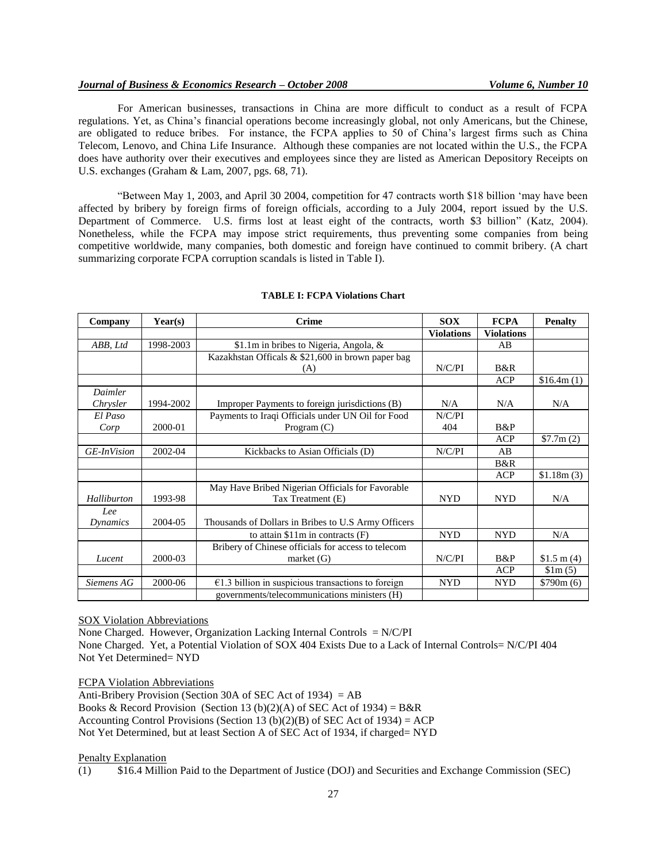## *Journal of Business & Economics Research – October 2008 Volume 6, Number 10*

For American businesses, transactions in China are more difficult to conduct as a result of FCPA regulations. Yet, as China"s financial operations become increasingly global, not only Americans, but the Chinese, are obligated to reduce bribes. For instance, the FCPA applies to 50 of China"s largest firms such as China Telecom, Lenovo, and China Life Insurance. Although these companies are not located within the U.S., the FCPA does have authority over their executives and employees since they are listed as American Depository Receipts on U.S. exchanges (Graham & Lam, 2007, pgs. 68, 71).

"Between May 1, 2003, and April 30 2004, competition for 47 contracts worth \$18 billion "may have been affected by bribery by foreign firms of foreign officials, according to a July 2004, report issued by the U.S. Department of Commerce. U.S. firms lost at least eight of the contracts, worth \$3 billion" (Katz, 2004). Nonetheless, while the FCPA may impose strict requirements, thus preventing some companies from being competitive worldwide, many companies, both domestic and foreign have continued to commit bribery. (A chart summarizing corporate FCPA corruption scandals is listed in Table I).

| Company            | Year(s)   | <b>Crime</b>                                         | <b>SOX</b>        | <b>FCPA</b>       | <b>Penalty</b>     |
|--------------------|-----------|------------------------------------------------------|-------------------|-------------------|--------------------|
|                    |           |                                                      | <b>Violations</b> | <b>Violations</b> |                    |
| ABB, Ltd           | 1998-2003 | \$1.1m in bribes to Nigeria, Angola, &               |                   | AB                |                    |
|                    |           | Kazakhstan Officals & \$21,600 in brown paper bag    |                   |                   |                    |
|                    |           | (A)                                                  | N/C/PI            | B&R               |                    |
|                    |           |                                                      |                   | <b>ACP</b>        | \$16.4m(1)         |
| Daimler            |           |                                                      |                   |                   |                    |
| Chrysler           | 1994-2002 | Improper Payments to foreign jurisdictions (B)       | N/A               | N/A               | N/A                |
| El Paso            |           | Payments to Iraqi Officials under UN Oil for Food    | N/C/PI            |                   |                    |
| Corp               | 2000-01   | Program $(C)$                                        | 404               | B&P               |                    |
|                    |           |                                                      |                   | <b>ACP</b>        | \$7.7m(2)          |
| <b>GE-InVision</b> | 2002-04   | Kickbacks to Asian Officials (D)                     | N/C/PI            | AB                |                    |
|                    |           |                                                      |                   | B&R               |                    |
|                    |           |                                                      |                   | <b>ACP</b>        | \$1.18m(3)         |
|                    |           | May Have Bribed Nigerian Officials for Favorable     |                   |                   |                    |
| Halliburton        | 1993-98   | Tax Treatment (E)                                    | <b>NYD</b>        | <b>NYD</b>        | N/A                |
| Lee                |           |                                                      |                   |                   |                    |
| Dynamics           | 2004-05   | Thousands of Dollars in Bribes to U.S Army Officers  |                   |                   |                    |
|                    |           | to attain $$11m$ in contracts (F)                    | <b>NYD</b>        | <b>NYD</b>        | N/A                |
|                    |           | Bribery of Chinese officials for access to telecom   |                   |                   |                    |
| Lucent             | 2000-03   | market $(G)$                                         | N/C/PI            | B&P               | \$1.5 m $(4)$      |
|                    |           |                                                      |                   | <b>ACP</b>        | $\frac{\sin(5)}{}$ |
| Siemens AG         | 2000-06   | $€1.3$ billion in suspicious transactions to foreign | <b>NYD</b>        | <b>NYD</b>        | \$790m(6)          |
|                    |           | governments/telecommunications ministers (H)         |                   |                   |                    |

#### **TABLE I: FCPA Violations Chart**

SOX Violation Abbreviations

None Charged. However, Organization Lacking Internal Controls  $= N/C/PI$ 

None Charged. Yet, a Potential Violation of SOX 404 Exists Due to a Lack of Internal Controls= N/C/PI 404 Not Yet Determined= NYD

FCPA Violation Abbreviations

Anti-Bribery Provision (Section 30A of SEC Act of 1934) =  $AB$ Books & Record Provision (Section 13 (b)(2)(A) of SEC Act of 1934) = B&R Accounting Control Provisions (Section 13 (b)(2)(B) of SEC Act of 1934) = ACP Not Yet Determined, but at least Section A of SEC Act of 1934, if charged= NYD

#### Penalty Explanation

(1) \$16.4 Million Paid to the Department of Justice (DOJ) and Securities and Exchange Commission (SEC)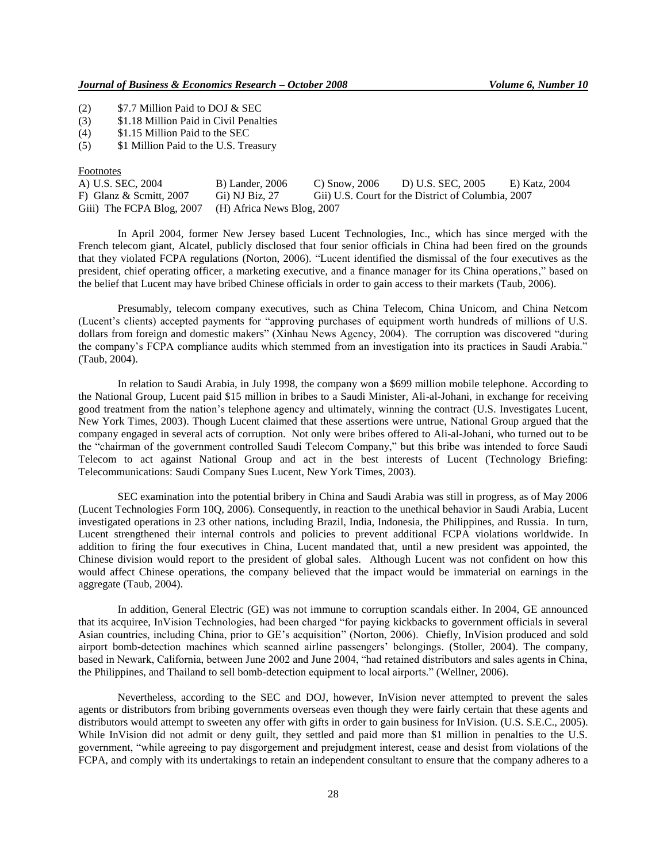(2) \$7.7 Million Paid to DOJ & SEC

(3) \$1.18 Million Paid in Civil Penalties

(4) \$1.15 Million Paid to the SEC

(5) \$1 Million Paid to the U.S. Treasury

#### Footnotes

| A) U.S. SEC, 2004                                    | <b>B</b> ) Lander, 2006 | C) Snow, $2006$ | D) U.S. SEC, 2005                                  | E) Katz. 2004 |
|------------------------------------------------------|-------------------------|-----------------|----------------------------------------------------|---------------|
| F) Glanz & Scmitt, $2007$                            | Gi) NJ Biz, 27          |                 | Gii) U.S. Court for the District of Columbia, 2007 |               |
| Giii) The FCPA Blog, 2007 (H) Africa News Blog, 2007 |                         |                 |                                                    |               |

In April 2004, former New Jersey based Lucent Technologies, Inc., which has since merged with the French telecom giant, Alcatel, publicly disclosed that four senior officials in China had been fired on the grounds that they violated FCPA regulations (Norton, 2006). "Lucent identified the dismissal of the four executives as the president, chief operating officer, a marketing executive, and a finance manager for its China operations," based on the belief that Lucent may have bribed Chinese officials in order to gain access to their markets (Taub, 2006).

Presumably, telecom company executives, such as China Telecom, China Unicom, and China Netcom (Lucent"s clients) accepted payments for "approving purchases of equipment worth hundreds of millions of U.S. dollars from foreign and domestic makers" (Xinhau News Agency, 2004). The corruption was discovered "during the company"s FCPA compliance audits which stemmed from an investigation into its practices in Saudi Arabia." (Taub, 2004).

In relation to Saudi Arabia, in July 1998, the company won a \$699 million mobile telephone. According to the National Group, Lucent paid \$15 million in bribes to a Saudi Minister, Ali-al-Johani, in exchange for receiving good treatment from the nation"s telephone agency and ultimately, winning the contract (U.S. Investigates Lucent, New York Times, 2003). Though Lucent claimed that these assertions were untrue, National Group argued that the company engaged in several acts of corruption. Not only were bribes offered to Ali-al-Johani, who turned out to be the "chairman of the government controlled Saudi Telecom Company," but this bribe was intended to force Saudi Telecom to act against National Group and act in the best interests of Lucent (Technology Briefing: Telecommunications: Saudi Company Sues Lucent, New York Times, 2003).

SEC examination into the potential bribery in China and Saudi Arabia was still in progress, as of May 2006 (Lucent Technologies Form 10Q, 2006). Consequently, in reaction to the unethical behavior in Saudi Arabia, Lucent investigated operations in 23 other nations, including Brazil, India, Indonesia, the Philippines, and Russia. In turn, Lucent strengthened their internal controls and policies to prevent additional FCPA violations worldwide. In addition to firing the four executives in China, Lucent mandated that, until a new president was appointed, the Chinese division would report to the president of global sales. Although Lucent was not confident on how this would affect Chinese operations, the company believed that the impact would be immaterial on earnings in the aggregate (Taub, 2004).

In addition, General Electric (GE) was not immune to corruption scandals either. In 2004, GE announced that its acquiree, InVision Technologies, had been charged "for paying kickbacks to government officials in several Asian countries, including China, prior to GE"s acquisition" (Norton, 2006). Chiefly, InVision produced and sold airport bomb-detection machines which scanned airline passengers" belongings. (Stoller, 2004). The company, based in Newark, California, between June 2002 and June 2004, "had retained distributors and sales agents in China, the Philippines, and Thailand to sell bomb-detection equipment to local airports." (Wellner, 2006).

Nevertheless, according to the SEC and DOJ, however, InVision never attempted to prevent the sales agents or distributors from bribing governments overseas even though they were fairly certain that these agents and distributors would attempt to sweeten any offer with gifts in order to gain business for InVision. (U.S. S.E.C., 2005). While InVision did not admit or deny guilt, they settled and paid more than \$1 million in penalties to the U.S. government, "while agreeing to pay disgorgement and prejudgment interest, cease and desist from violations of the FCPA, and comply with its undertakings to retain an independent consultant to ensure that the company adheres to a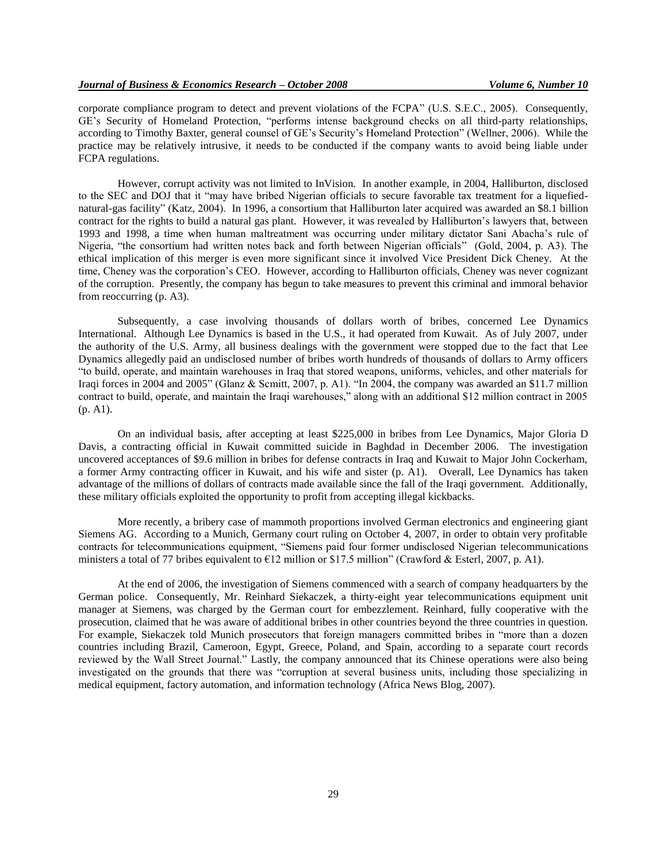corporate compliance program to detect and prevent violations of the FCPA" (U.S. S.E.C., 2005). Consequently, GE"s Security of Homeland Protection, "performs intense background checks on all third-party relationships, according to Timothy Baxter, general counsel of GE's Security's Homeland Protection" (Wellner, 2006). While the practice may be relatively intrusive, it needs to be conducted if the company wants to avoid being liable under FCPA regulations.

However, corrupt activity was not limited to InVision. In another example, in 2004, Halliburton, disclosed to the SEC and DOJ that it "may have bribed Nigerian officials to secure favorable tax treatment for a liquefiednatural-gas facility" (Katz, 2004). In 1996, a consortium that Halliburton later acquired was awarded an \$8.1 billion contract for the rights to build a natural gas plant. However, it was revealed by Halliburton"s lawyers that, between 1993 and 1998, a time when human maltreatment was occurring under military dictator Sani Abacha"s rule of Nigeria, "the consortium had written notes back and forth between Nigerian officials" (Gold, 2004, p. A3). The ethical implication of this merger is even more significant since it involved Vice President Dick Cheney. At the time, Cheney was the corporation"s CEO. However, according to Halliburton officials, Cheney was never cognizant of the corruption. Presently, the company has begun to take measures to prevent this criminal and immoral behavior from reoccurring (p. A3).

Subsequently, a case involving thousands of dollars worth of bribes, concerned Lee Dynamics International. Although Lee Dynamics is based in the U.S., it had operated from Kuwait. As of July 2007, under the authority of the U.S. Army, all business dealings with the government were stopped due to the fact that Lee Dynamics allegedly paid an undisclosed number of bribes worth hundreds of thousands of dollars to Army officers "to build, operate, and maintain warehouses in Iraq that stored weapons, uniforms, vehicles, and other materials for Iraqi forces in 2004 and 2005" (Glanz & Scmitt, 2007, p. A1). "In 2004, the company was awarded an \$11.7 million contract to build, operate, and maintain the Iraqi warehouses," along with an additional \$12 million contract in 2005 (p. A1).

On an individual basis, after accepting at least \$225,000 in bribes from Lee Dynamics, Major Gloria D Davis, a contracting official in Kuwait committed suicide in Baghdad in December 2006. The investigation uncovered acceptances of \$9.6 million in bribes for defense contracts in Iraq and Kuwait to Major John Cockerham, a former Army contracting officer in Kuwait, and his wife and sister (p. A1). Overall, Lee Dynamics has taken advantage of the millions of dollars of contracts made available since the fall of the Iraqi government. Additionally, these military officials exploited the opportunity to profit from accepting illegal kickbacks.

More recently, a bribery case of mammoth proportions involved German electronics and engineering giant Siemens AG. According to a Munich, Germany court ruling on October 4, 2007, in order to obtain very profitable contracts for telecommunications equipment, "Siemens paid four former undisclosed Nigerian telecommunications ministers a total of 77 bribes equivalent to  $E12$  million or \$17.5 million" (Crawford & Esterl, 2007, p. A1).

At the end of 2006, the investigation of Siemens commenced with a search of company headquarters by the German police. Consequently, Mr. Reinhard Siekaczek, a thirty-eight year telecommunications equipment unit manager at Siemens, was charged by the German court for embezzlement. Reinhard, fully cooperative with the prosecution, claimed that he was aware of additional bribes in other countries beyond the three countries in question. For example, Siekaczek told Munich prosecutors that foreign managers committed bribes in "more than a dozen countries including Brazil, Cameroon, Egypt, Greece, Poland, and Spain, according to a separate court records reviewed by the Wall Street Journal." Lastly, the company announced that its Chinese operations were also being investigated on the grounds that there was "corruption at several business units, including those specializing in medical equipment, factory automation, and information technology (Africa News Blog, 2007).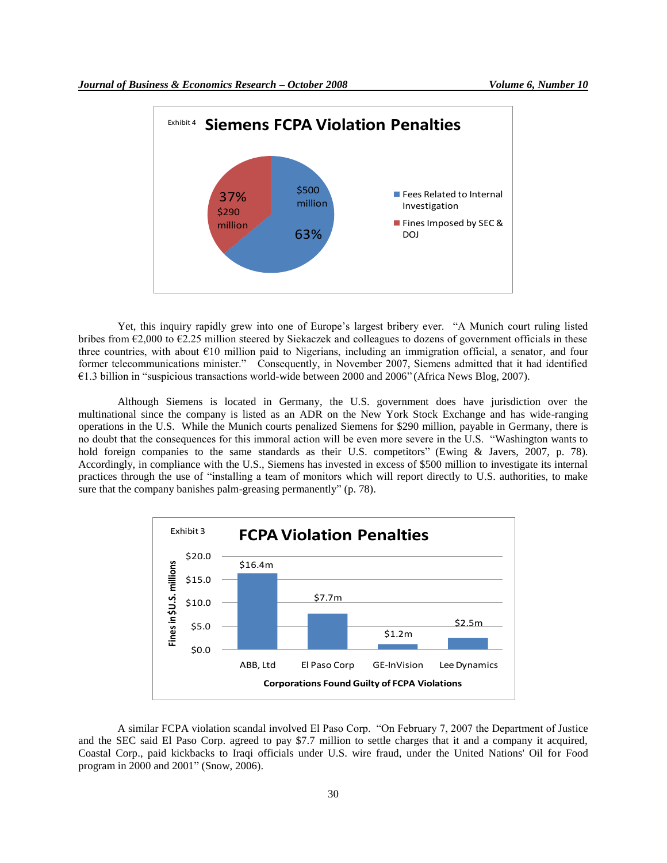

Yet, this inquiry rapidly grew into one of Europe"s largest bribery ever. "A Munich court ruling listed bribes from €2,000 to €2.25 million steered by Siekaczek and colleagues to dozens of government officials in these three countries, with about €10 million paid to Nigerians, including an immigration official, a senator, and four former telecommunications minister." Consequently, in November 2007, Siemens admitted that it had identified €1.3 billion in "suspicious transactions world-wide between 2000 and 2006" (Africa News Blog, 2007).

Although Siemens is located in Germany, the U.S. government does have jurisdiction over the multinational since the company is listed as an ADR on the New York Stock Exchange and has wide-ranging operations in the U.S. While the Munich courts penalized Siemens for \$290 million, payable in Germany, there is no doubt that the consequences for this immoral action will be even more severe in the U.S. "Washington wants to hold foreign companies to the same standards as their U.S. competitors" (Ewing & Javers, 2007, p. 78). Accordingly, in compliance with the U.S., Siemens has invested in excess of \$500 million to investigate its internal practices through the use of "installing a team of monitors which will report directly to U.S. authorities, to make sure that the company banishes palm-greasing permanently" (p. 78).



A similar FCPA violation scandal involved El Paso Corp. "On February 7, 2007 the Department of Justice and the SEC said El Paso Corp. agreed to pay \$7.7 million to settle charges that it and a company it acquired, Coastal Corp., paid kickbacks to Iraqi officials under U.S. wire fraud, under the United Nations' Oil for Food program in 2000 and 2001" (Snow, 2006).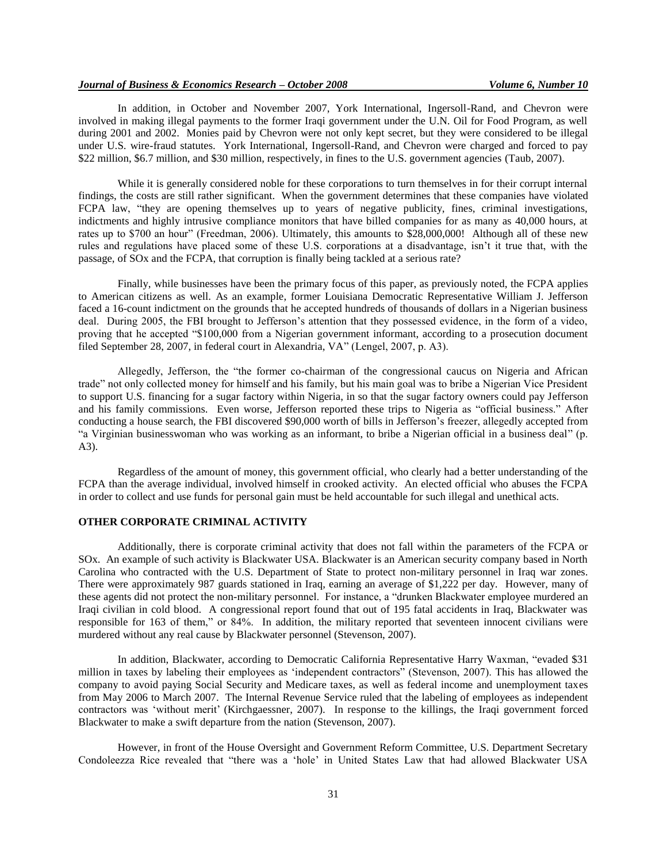In addition, in October and November 2007, York International, Ingersoll-Rand, and Chevron were involved in making illegal payments to the former Iraqi government under the U.N. Oil for Food Program, as well during 2001 and 2002. Monies paid by Chevron were not only kept secret, but they were considered to be illegal under U.S. wire-fraud statutes. York International, Ingersoll-Rand, and Chevron were charged and forced to pay \$22 million, \$6.7 million, and \$30 million, respectively, in fines to the U.S. government agencies (Taub, 2007).

While it is generally considered noble for these corporations to turn themselves in for their corrupt internal findings, the costs are still rather significant. When the government determines that these companies have violated FCPA law, "they are opening themselves up to years of negative publicity, fines, criminal investigations, indictments and highly intrusive compliance monitors that have billed companies for as many as 40,000 hours, at rates up to \$700 an hour" (Freedman, 2006). Ultimately, this amounts to \$28,000,000! Although all of these new rules and regulations have placed some of these U.S. corporations at a disadvantage, isn"t it true that, with the passage, of SOx and the FCPA, that corruption is finally being tackled at a serious rate?

Finally, while businesses have been the primary focus of this paper, as previously noted, the FCPA applies to American citizens as well. As an example, former Louisiana Democratic Representative William J. Jefferson faced a 16-count indictment on the grounds that he accepted hundreds of thousands of dollars in a Nigerian business deal. During 2005, the FBI brought to Jefferson's attention that they possessed evidence, in the form of a video, proving that he accepted "\$100,000 from a Nigerian government informant, according to a prosecution document filed September 28, 2007, in federal court in Alexandria, VA" (Lengel, 2007, p. A3).

Allegedly, Jefferson, the "the former co-chairman of the congressional caucus on Nigeria and African trade" not only collected money for himself and his family, but his main goal was to bribe a Nigerian Vice President to support U.S. financing for a sugar factory within Nigeria, in so that the sugar factory owners could pay Jefferson and his family commissions. Even worse, Jefferson reported these trips to Nigeria as "official business." After conducting a house search, the FBI discovered \$90,000 worth of bills in Jefferson"s freezer, allegedly accepted from "a Virginian businesswoman who was working as an informant, to bribe a Nigerian official in a business deal" (p. A3).

Regardless of the amount of money, this government official, who clearly had a better understanding of the FCPA than the average individual, involved himself in crooked activity. An elected official who abuses the FCPA in order to collect and use funds for personal gain must be held accountable for such illegal and unethical acts.

## **OTHER CORPORATE CRIMINAL ACTIVITY**

Additionally, there is corporate criminal activity that does not fall within the parameters of the FCPA or SOx. An example of such activity is Blackwater USA. Blackwater is an American security company based in North Carolina who contracted with the U.S. Department of State to protect non-military personnel in Iraq war zones. There were approximately 987 guards stationed in Iraq, earning an average of \$1,222 per day. However, many of these agents did not protect the non-military personnel. For instance, a "drunken Blackwater employee murdered an Iraqi civilian in cold blood. A congressional report found that out of 195 fatal accidents in Iraq, Blackwater was responsible for 163 of them," or 84%. In addition, the military reported that seventeen innocent civilians were murdered without any real cause by Blackwater personnel (Stevenson, 2007).

 In addition, Blackwater, according to Democratic California Representative Harry Waxman, "evaded \$31 million in taxes by labeling their employees as "independent contractors" (Stevenson, 2007). This has allowed the company to avoid paying Social Security and Medicare taxes, as well as federal income and unemployment taxes from May 2006 to March 2007. The Internal Revenue Service ruled that the labeling of employees as independent contractors was "without merit" (Kirchgaessner, 2007). In response to the killings, the Iraqi government forced Blackwater to make a swift departure from the nation (Stevenson, 2007).

 However, in front of the House Oversight and Government Reform Committee, U.S. Department Secretary Condoleezza Rice revealed that "there was a "hole" in United States Law that had allowed Blackwater USA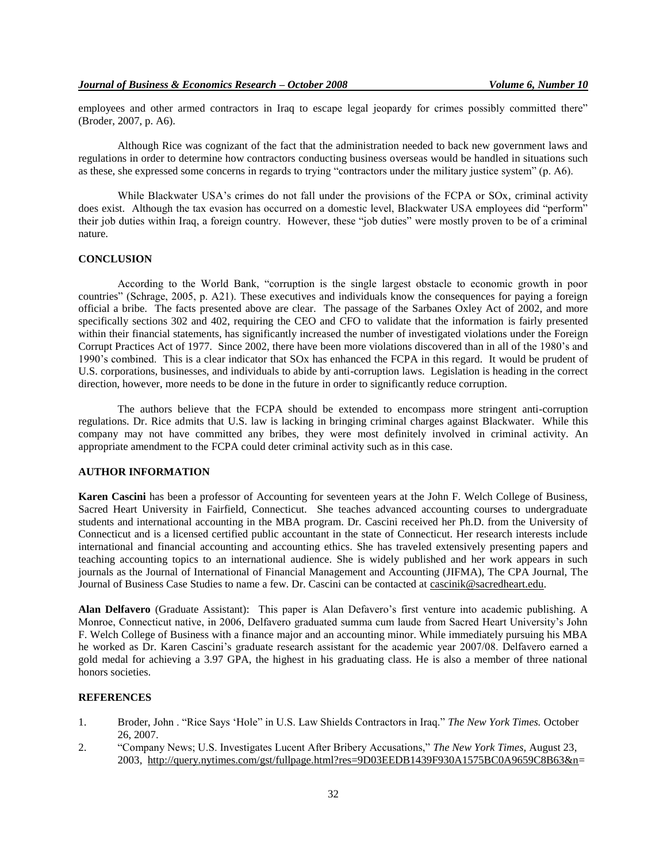employees and other armed contractors in Iraq to escape legal jeopardy for crimes possibly committed there" (Broder, 2007, p. A6).

Although Rice was cognizant of the fact that the administration needed to back new government laws and regulations in order to determine how contractors conducting business overseas would be handled in situations such as these, she expressed some concerns in regards to trying "contractors under the military justice system" (p. A6).

While Blackwater USA's crimes do not fall under the provisions of the FCPA or SOx, criminal activity does exist. Although the tax evasion has occurred on a domestic level, Blackwater USA employees did "perform" their job duties within Iraq, a foreign country. However, these "job duties" were mostly proven to be of a criminal nature.

## **CONCLUSION**

 According to the World Bank, "corruption is the single largest obstacle to economic growth in poor countries" (Schrage, 2005, p. A21). These executives and individuals know the consequences for paying a foreign official a bribe. The facts presented above are clear. The passage of the Sarbanes Oxley Act of 2002, and more specifically sections 302 and 402, requiring the CEO and CFO to validate that the information is fairly presented within their financial statements, has significantly increased the number of investigated violations under the Foreign Corrupt Practices Act of 1977. Since 2002, there have been more violations discovered than in all of the 1980"s and 1990"s combined. This is a clear indicator that SOx has enhanced the FCPA in this regard. It would be prudent of U.S. corporations, businesses, and individuals to abide by anti-corruption laws. Legislation is heading in the correct direction, however, more needs to be done in the future in order to significantly reduce corruption.

 The authors believe that the FCPA should be extended to encompass more stringent anti-corruption regulations. Dr. Rice admits that U.S. law is lacking in bringing criminal charges against Blackwater. While this company may not have committed any bribes, they were most definitely involved in criminal activity. An appropriate amendment to the FCPA could deter criminal activity such as in this case.

#### **AUTHOR INFORMATION**

**Karen Cascini** has been a professor of Accounting for seventeen years at the John F. Welch College of Business, Sacred Heart University in Fairfield, Connecticut. She teaches advanced accounting courses to undergraduate students and international accounting in the MBA program. Dr. Cascini received her Ph.D. from the University of Connecticut and is a licensed certified public accountant in the state of Connecticut. Her research interests include international and financial accounting and accounting ethics. She has traveled extensively presenting papers and teaching accounting topics to an international audience. She is widely published and her work appears in such journals as the Journal of International of Financial Management and Accounting (JIFMA), The CPA Journal, The Journal of Business Case Studies to name a few. Dr. Cascini can be contacted at [cascinik@sacredheart.edu.](mailto:cascinik@sacredheart.edu)

**Alan Delfavero** (Graduate Assistant): This paper is Alan Defavero"s first venture into academic publishing. A Monroe, Connecticut native, in 2006, Delfavero graduated summa cum laude from Sacred Heart University"s John F. Welch College of Business with a finance major and an accounting minor. While immediately pursuing his MBA he worked as Dr. Karen Cascini"s graduate research assistant for the academic year 2007/08. Delfavero earned a gold medal for achieving a 3.97 GPA, the highest in his graduating class. He is also a member of three national honors societies.

#### **REFERENCES**

- 1. Broder, John . "Rice Says "Hole" in U.S. Law Shields Contractors in Iraq." *The New York Times.* October 26, 2007.
- 2. "Company News; U.S. Investigates Lucent After Bribery Accusations," *The New York Times,* August 23, 2003*,* [http://query.nytimes.com/gst/fullpage.html?res=9D03EEDB1439F930A1575BC0A9659C8B63&n=](http://query.nytimes.com/gst/fullpage.html?res=9D03EEDB1439F930A1575BC0A9659C8B63&n)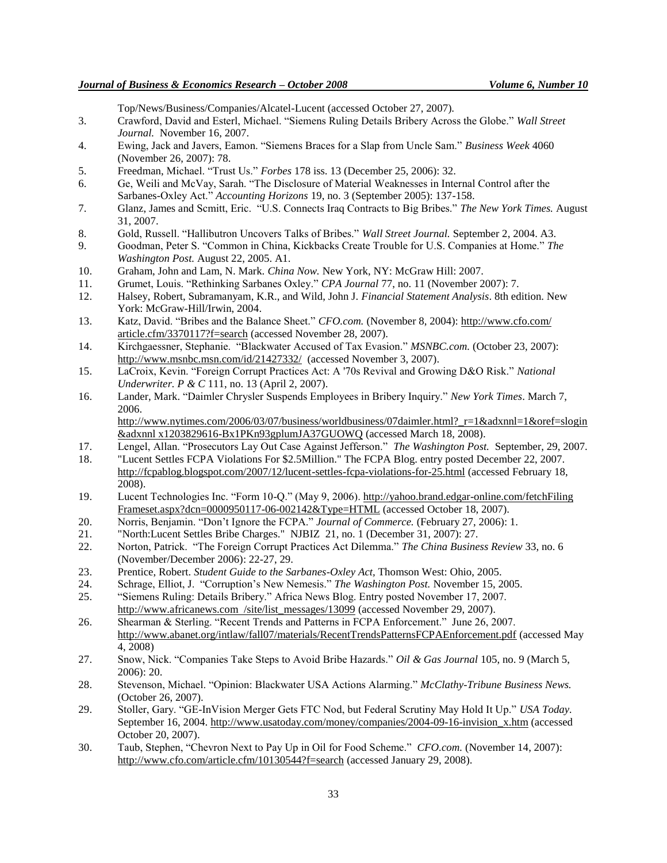Top/News/Business/Companies/Alcatel-Lucent (accessed October 27, 2007).

- 3. Crawford, David and Esterl, Michael. "Siemens Ruling Details Bribery Across the Globe." *Wall Street Journal.* November 16, 2007.
- 4. Ewing, Jack and Javers, Eamon. "Siemens Braces for a Slap from Uncle Sam." *Business Week* 4060 (November 26, 2007): 78.
- 5. Freedman, Michael. "Trust Us." *Forbes* 178 iss. 13 (December 25, 2006): 32.
- 6. Ge, Weili and McVay, Sarah. "The Disclosure of Material Weaknesses in Internal Control after the Sarbanes-Oxley Act." *Accounting Horizons* 19, no. 3 (September 2005): 137-158.
- 7. Glanz, James and Scmitt, Eric. "U.S. Connects Iraq Contracts to Big Bribes." *The New York Times.* August 31, 2007.
- 8. Gold, Russell. "Hallibutron Uncovers Talks of Bribes." *Wall Street Journal.* September 2, 2004. A3.
- 9. Goodman, Peter S. "Common in China, Kickbacks Create Trouble for U.S. Companies at Home." *The Washington Post.* August 22, 2005. A1.
- 10. Graham, John and Lam, N. Mark. *China Now.* New York, NY: McGraw Hill: 2007.
- 11. Grumet, Louis. "Rethinking Sarbanes Oxley." *CPA Journal* 77, no. 11 (November 2007): 7.
- 12. Halsey, Robert, Subramanyam, K.R., and Wild, John J. *Financial Statement Analysis*. 8th edition. New York: McGraw-Hill/Irwin, 2004.
- 13. Katz, David. "Bribes and the Balance Sheet." *CFO.com.* (November 8, 2004): http://www.cfo.com/ article.cfm/3370117?f=search (accessed November 28, 2007).
- 14. Kirchgaessner, Stephanie. "Blackwater Accused of Tax Evasion." *MSNBC.com.* (October 23, 2007): <http://www.msnbc.msn.com/id/21427332/>(accessed November 3, 2007).
- 15. LaCroix, Kevin. "Foreign Corrupt Practices Act: A '70s Revival and Growing D&O Risk." *National Underwriter. P & C* 111, no. 13 (April 2, 2007).
- 16. Lander, Mark. "Daimler Chrysler Suspends Employees in Bribery Inquiry." *New York Times*. March 7, 2006.

[http://www.nytimes.com/2006/](http://www.nytimes.com/2006)03/07/business/worldbusiness/07daimler.html? r=1&adxnnl=1&oref=slogin &adxnnl x1203829616-Bx1PKn93gplumJA37GUOWQ (accessed March 18, 2008).

- 17. Lengel, Allan. "Prosecutors Lay Out Case Against Jefferson." *The Washington Post.* September, 29, 2007.
- 18. "Lucent Settles FCPA Violations For \$2.5Million." The FCPA Blog. entry posted December 22, 2007. http://fcpablog.blogspot.com/2007/12/lucent-settles-fcpa-violations-for-25.html (accessed February 18, 2008).
- 19. Lucent Technologies Inc. "Form 10-Q." (May 9, 2006). http://yahoo.brand.edgar-online.com/fetchFiling Frameset.aspx?dcn=0000950117-06-002142&Type=HTML (accessed October 18, 2007).
- 20. Norris, Benjamin. "Don"t Ignore the FCPA." *Journal of Commerce.* (February 27, 2006): 1.
- 21. "North:Lucent Settles Bribe Charges." NJBIZ 21, no. 1 (December 31, 2007): 27.
- 22. Norton, Patrick. "The Foreign Corrupt Practices Act Dilemma." *The China Business Review* 33, no. 6 (November/December 2006): 22-27, 29.
- 23. Prentice, Robert. *Student Guide to the Sarbanes-Oxley Act,* Thomson West: Ohio, 2005.
- 24. Schrage, Elliot, J. "Corruption"s New Nemesis." *The Washington Post.* November 15, 2005.
- 25. "Siemens Ruling: Details Bribery." Africa News Blog. Entry posted November 17, 2007. http://www.africanews.com /site/list\_messages/13099 (accessed November 29, 2007).
- 26. Shearman & Sterling. "Recent Trends and Patterns in FCPA Enforcement." June 26, 2007. <http://www.abanet.org/intlaw/fall07/materials/RecentTrendsPatternsFCPAEnforcement.pdf> (accessed May 4, 2008)
- 27. Snow, Nick. "Companies Take Steps to Avoid Bribe Hazards." *Oil & Gas Journal* 105, no. 9 (March 5, 2006): 20.
- 28. Stevenson, Michael. "Opinion: Blackwater USA Actions Alarming." *McClathy-Tribune Business News.* (October 26, 2007).
- 29. Stoller, Gary. "GE-InVision Merger Gets FTC Nod, but Federal Scrutiny May Hold It Up." *USA Today.* September 16, 2004. [http://www.usatoday.com/money/companies/2004-09-16-invision\\_x.htm](http://www.usatoday.com/money/companies/2004-09-16-invision_x.htm) (accessed October 20, 2007).
- 30. Taub, Stephen, "Chevron Next to Pay Up in Oil for Food Scheme." *CFO.com.* (November 14, 2007): <http://www.cfo.com/article.cfm/10130544?f=search> (accessed January 29, 2008).